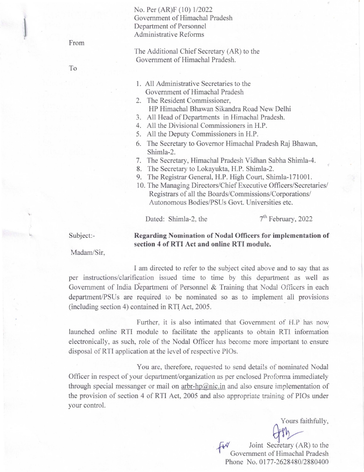## No. Per (AR)F (10) 1/2022 Government of Himachal Pradesh Department of Personnel Administrative Reforms

From

To

- The Additional Chief Secretary (AR) to the Government of Himachal Pradesh.
- 1. All Administrative Secretaries to the Government of Himachal Pradesh
- 2. The Resident Commissioner, HP Himachal Bhawan Sikandra Road New Delhi
- 3. All Head of Departments in Himachal Pradesh.
- 4. All the Divisional Commissioners in H.P.
- 5. All the Deputy Commissioners in H.P.
- 6. The Secretary to Governor Himachal Pradesh Raj Bhawan, Shimla-2.
- 7. The Secretary, Himachal Pradesh Vidhan Sabha Shimla-4.
- 8. The Secretary to Lokayukta, H.P. Shimla-2.
- 9. The Registrar General, H.P. High Court, Shimla-171001.
- 10. The Managing Directors/Chief Executive Officers/Secretaries/ Registrars of all the Boards/Commissions/Corporations/ Autonomous Bodies/PSUs Govt. Universities etc.

Dated: Shimla-2, the  $7<sup>th</sup>$  February, 2022

Subject:-

## **Regarding Nomination of Nodal Officers for implementation of section 4 of RTI Act and online RTI module.**

Madam/Sir,

I am directed to refer to the subject cited above and to say that as per instructions/clarification issued time to time by this department as well as Government of India Department of Personnel & Training that Nodal Officers in each department/PSUs are required to be nominated so as to implement all provisions (including section 4) contained in RTI Act, 2005.

Further, it is also intimated that Government of H.P has now launched online RTI module to facilitate the applicants to obtain RTl information electronically, as such, role of the Nodal Officer has become more important to ensure disposal of RTI application at the level of respective PIOs.

You are, therefore, requested to send details of nominated Nodal Officer in respect of your department/organization as per enclosed Proforma immediately through special messanger or mail on  $arbr-hp@nic.in$  and also ensure implementation of the provision of section 4 of RTI Act, 2005 and also appropriate training of PIOs under your control.

Yours faithfully,

Joint Secretary (AR) to the Government of HImachal Pradesh Phone No. 0177-2628480/2880400